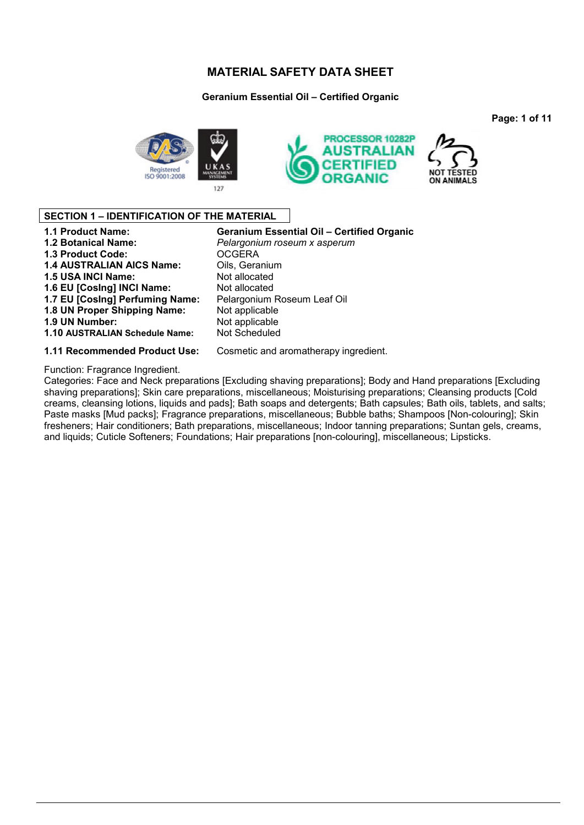### **Geranium Essential Oil – Certified Organic**

**Page: 1 of 11**





### **SECTION 1 – IDENTIFICATION OF THE MATERIAL**

| <b>1.1 Product Name:</b>         | <b>Geranium Essential Oil - Certified Organic</b> |
|----------------------------------|---------------------------------------------------|
| <b>1.2 Botanical Name:</b>       | Pelargonium roseum x asperum                      |
| <b>1.3 Product Code:</b>         | <b>OCGERA</b>                                     |
| <b>1.4 AUSTRALIAN AICS Name:</b> | Oils, Geranium                                    |
| 1.5 USA INCI Name:               | Not allocated                                     |
| 1.6 EU [Cosing] INCI Name:       | Not allocated                                     |
| 1.7 EU [Cosing] Perfuming Name:  | Pelargonium Roseum Leaf Oil                       |
| 1.8 UN Proper Shipping Name:     | Not applicable                                    |
| 1.9 UN Number:                   | Not applicable                                    |
| 1.10 AUSTRALIAN Schedule Name:   | <b>Not Scheduled</b>                              |
| A AA Dessamps and ad Draduat Has | Connectional oversatherens : inquestiont          |

#### **1.11 Recommended Product Use:** Cosmetic and aromatherapy ingredient.

#### Function: Fragrance Ingredient.

Categories: Face and Neck preparations [Excluding shaving preparations]; Body and Hand preparations [Excluding shaving preparations]; Skin care preparations, miscellaneous; Moisturising preparations; Cleansing products [Cold creams, cleansing lotions, liquids and pads]; Bath soaps and detergents; Bath capsules; Bath oils, tablets, and salts; Paste masks [Mud packs]; Fragrance preparations, miscellaneous; Bubble baths; Shampoos [Non-colouring]; Skin fresheners; Hair conditioners; Bath preparations, miscellaneous; Indoor tanning preparations; Suntan gels, creams, and liquids; Cuticle Softeners; Foundations; Hair preparations [non-colouring], miscellaneous; Lipsticks.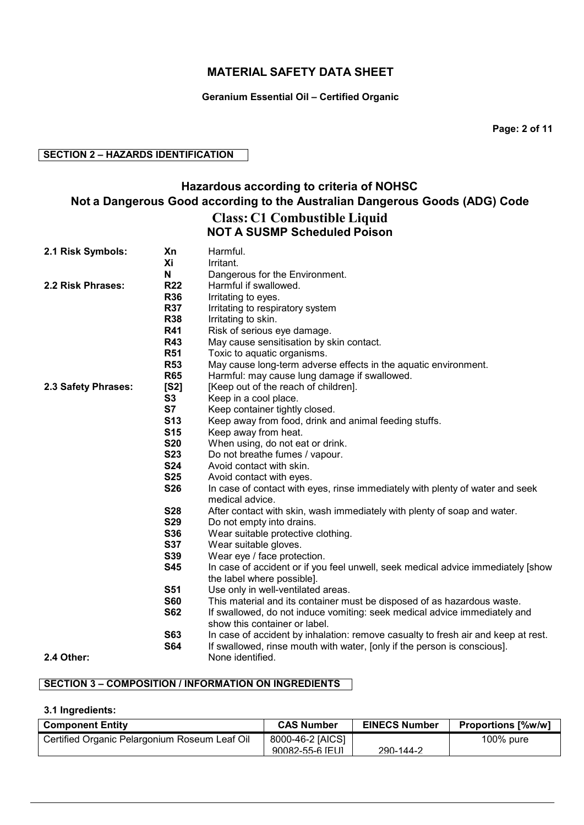### **Geranium Essential Oil – Certified Organic**

**Page: 2 of 11**

### **SECTION 2 – HAZARDS IDENTIFICATION**

# **Hazardous according to criteria of NOHSC Not a Dangerous Good according to the Australian Dangerous Goods (ADG) Code Class: C1 Combustible Liquid NOT A SUSMP Scheduled Poison**

| 2.1 Risk Symbols:   | Xn         | Harmful.                                                                                                   |
|---------------------|------------|------------------------------------------------------------------------------------------------------------|
|                     | Xi         | Irritant.                                                                                                  |
|                     | N          | Dangerous for the Environment.                                                                             |
| 2.2 Risk Phrases:   | <b>R22</b> | Harmful if swallowed.                                                                                      |
|                     | <b>R36</b> | Irritating to eyes.                                                                                        |
|                     | <b>R37</b> | Irritating to respiratory system                                                                           |
|                     | <b>R38</b> | Irritating to skin.                                                                                        |
|                     | <b>R41</b> | Risk of serious eye damage.                                                                                |
|                     | <b>R43</b> | May cause sensitisation by skin contact.                                                                   |
|                     | <b>R51</b> | Toxic to aquatic organisms.                                                                                |
|                     | <b>R53</b> | May cause long-term adverse effects in the aquatic environment.                                            |
|                     | <b>R65</b> | Harmful: may cause lung damage if swallowed.                                                               |
| 2.3 Safety Phrases: | [S2]       | [Keep out of the reach of children].                                                                       |
|                     | S3         | Keep in a cool place.                                                                                      |
|                     | S7         | Keep container tightly closed.                                                                             |
|                     | <b>S13</b> | Keep away from food, drink and animal feeding stuffs.                                                      |
|                     | <b>S15</b> | Keep away from heat.                                                                                       |
|                     | <b>S20</b> | When using, do not eat or drink.                                                                           |
|                     | <b>S23</b> | Do not breathe fumes / vapour.                                                                             |
|                     | <b>S24</b> | Avoid contact with skin.                                                                                   |
|                     | <b>S25</b> | Avoid contact with eyes.                                                                                   |
|                     | <b>S26</b> | In case of contact with eyes, rinse immediately with plenty of water and seek                              |
|                     |            | medical advice.                                                                                            |
|                     | <b>S28</b> | After contact with skin, wash immediately with plenty of soap and water.                                   |
|                     | <b>S29</b> | Do not empty into drains.                                                                                  |
|                     | <b>S36</b> | Wear suitable protective clothing.                                                                         |
|                     | <b>S37</b> | Wear suitable gloves.                                                                                      |
|                     | <b>S39</b> | Wear eye / face protection.                                                                                |
|                     | <b>S45</b> | In case of accident or if you feel unwell, seek medical advice immediately [show                           |
|                     |            | the label where possible].                                                                                 |
|                     | <b>S51</b> | Use only in well-ventilated areas.                                                                         |
|                     | <b>S60</b> | This material and its container must be disposed of as hazardous waste.                                    |
|                     | <b>S62</b> | If swallowed, do not induce vomiting: seek medical advice immediately and<br>show this container or label. |
|                     | <b>S63</b> | In case of accident by inhalation: remove casualty to fresh air and keep at rest.                          |
|                     | <b>S64</b> | If swallowed, rinse mouth with water, [only if the person is conscious].                                   |
| 2.4 Other:          |            | None identified.                                                                                           |

# **SECTION 3 – COMPOSITION / INFORMATION ON INGREDIENTS**

#### **3.1 Ingredients:**

| <b>Component Entity</b>                       | <b>CAS Number</b> | <b>EINECS Number</b> | <b>Proportions [%w/w]</b> |
|-----------------------------------------------|-------------------|----------------------|---------------------------|
| Certified Organic Pelargonium Roseum Leaf Oil | 8000-46-2 [AICS]  |                      | 100% pure                 |
|                                               | 90082-55-6 [FU]   | 290-144-2            |                           |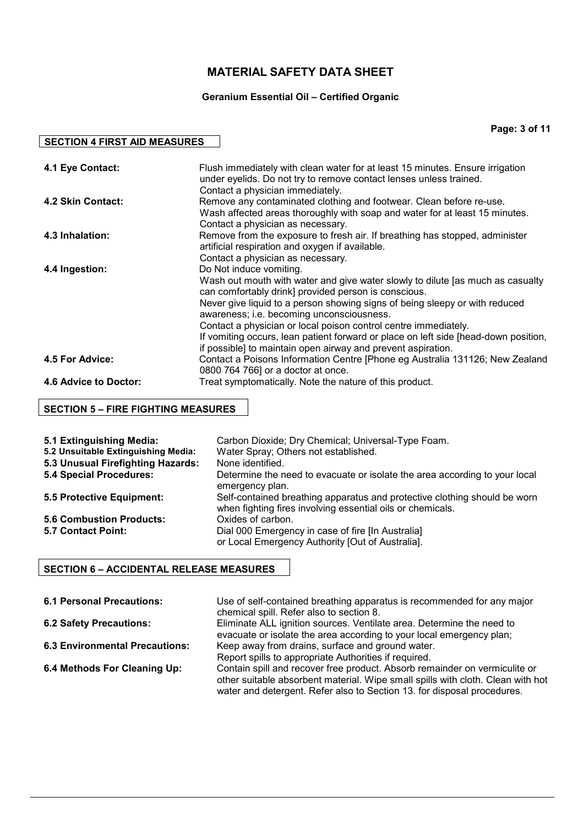# **Geranium Essential Oil – Certified Organic**

**Page: 3 of 11**

| 4.1 Eye Contact:      | Flush immediately with clean water for at least 15 minutes. Ensure irrigation<br>under eyelids. Do not try to remove contact lenses unless trained. |
|-----------------------|-----------------------------------------------------------------------------------------------------------------------------------------------------|
|                       | Contact a physician immediately.                                                                                                                    |
|                       |                                                                                                                                                     |
| 4.2 Skin Contact:     | Remove any contaminated clothing and footwear. Clean before re-use.                                                                                 |
|                       | Wash affected areas thoroughly with soap and water for at least 15 minutes.                                                                         |
|                       | Contact a physician as necessary.                                                                                                                   |
| 4.3 Inhalation:       | Remove from the exposure to fresh air. If breathing has stopped, administer                                                                         |
|                       | artificial respiration and oxygen if available.                                                                                                     |
|                       | Contact a physician as necessary.                                                                                                                   |
| 4.4 Ingestion:        | Do Not induce vomiting.                                                                                                                             |
|                       | Wash out mouth with water and give water slowly to dilute [as much as casualty                                                                      |
|                       | can comfortably drink] provided person is conscious.                                                                                                |
|                       | Never give liquid to a person showing signs of being sleepy or with reduced                                                                         |
|                       | awareness; i.e. becoming unconsciousness.                                                                                                           |
|                       | Contact a physician or local poison control centre immediately.                                                                                     |
|                       | If vomiting occurs, lean patient forward or place on left side [head-down position,                                                                 |
|                       | if possible] to maintain open airway and prevent aspiration.                                                                                        |
| 4.5 For Advice:       | Contact a Poisons Information Centre [Phone eg Australia 131126; New Zealand                                                                        |
|                       | 0800 764 766] or a doctor at once.                                                                                                                  |
| 4.6 Advice to Doctor: | Treat symptomatically. Note the nature of this product.                                                                                             |
|                       |                                                                                                                                                     |

# **SECTION 5 – FIRE FIGHTING MEASURES**

**SECTION 4 FIRST AID MEASURES** 

| 5.1 Extinguishing Media:<br>5.2 Unsuitable Extinguishing Media:<br>5.3 Unusual Firefighting Hazards:<br><b>5.4 Special Procedures:</b> | Carbon Dioxide; Dry Chemical; Universal-Type Foam.<br>Water Spray; Others not established.<br>None identified.<br>Determine the need to evacuate or isolate the area according to your local<br>emergency plan. |
|----------------------------------------------------------------------------------------------------------------------------------------|-----------------------------------------------------------------------------------------------------------------------------------------------------------------------------------------------------------------|
| 5.5 Protective Equipment:                                                                                                              | Self-contained breathing apparatus and protective clothing should be worn<br>when fighting fires involving essential oils or chemicals.                                                                         |
| <b>5.6 Combustion Products:</b><br>5.7 Contact Point:                                                                                  | Oxides of carbon.<br>Dial 000 Emergency in case of fire [In Australia]                                                                                                                                          |
|                                                                                                                                        | or Local Emergency Authority [Out of Australia].                                                                                                                                                                |

# **SECTION 6 – ACCIDENTAL RELEASE MEASURES**

| <b>6.1 Personal Precautions:</b>      | Use of self-contained breathing apparatus is recommended for any major<br>chemical spill. Refer also to section 8. |
|---------------------------------------|--------------------------------------------------------------------------------------------------------------------|
| <b>6.2 Safety Precautions:</b>        | Eliminate ALL ignition sources. Ventilate area. Determine the need to                                              |
|                                       | evacuate or isolate the area according to your local emergency plan;                                               |
| <b>6.3 Environmental Precautions:</b> | Keep away from drains, surface and ground water.                                                                   |
|                                       | Report spills to appropriate Authorities if required.                                                              |
| 6.4 Methods For Cleaning Up:          | Contain spill and recover free product. Absorb remainder on vermiculite or                                         |
|                                       | other suitable absorbent material. Wipe small spills with cloth. Clean with hot                                    |
|                                       | water and detergent. Refer also to Section 13. for disposal procedures.                                            |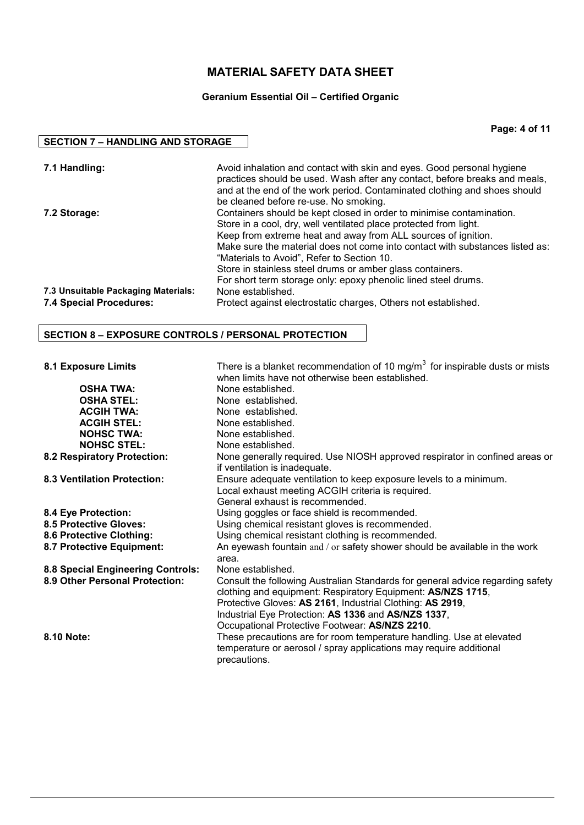# **Geranium Essential Oil – Certified Organic**

**Page: 4 of 11**

### **SECTION 7 – HANDLING AND STORAGE**

| 7.1 Handling:                                                  | Avoid inhalation and contact with skin and eyes. Good personal hygiene<br>practices should be used. Wash after any contact, before breaks and meals,<br>and at the end of the work period. Contaminated clothing and shoes should<br>be cleaned before re-use. No smoking.                                                                                                                                                                                              |
|----------------------------------------------------------------|-------------------------------------------------------------------------------------------------------------------------------------------------------------------------------------------------------------------------------------------------------------------------------------------------------------------------------------------------------------------------------------------------------------------------------------------------------------------------|
| 7.2 Storage:                                                   | Containers should be kept closed in order to minimise contamination.<br>Store in a cool, dry, well ventilated place protected from light.<br>Keep from extreme heat and away from ALL sources of ignition.<br>Make sure the material does not come into contact with substances listed as:<br>"Materials to Avoid", Refer to Section 10.<br>Store in stainless steel drums or amber glass containers.<br>For short term storage only: epoxy phenolic lined steel drums. |
| 7.3 Unsuitable Packaging Materials:<br>7.4 Special Procedures: | None established.<br>Protect against electrostatic charges, Others not established.                                                                                                                                                                                                                                                                                                                                                                                     |

### **SECTION 8 – EXPOSURE CONTROLS / PERSONAL PROTECTION**

| <b>8.1 Exposure Limits</b>         | There is a blanket recommendation of 10 mg/m <sup>3</sup> for inspirable dusts or mists<br>when limits have not otherwise been established. |
|------------------------------------|---------------------------------------------------------------------------------------------------------------------------------------------|
| <b>OSHA TWA:</b>                   | None established.                                                                                                                           |
| <b>OSHA STEL:</b>                  | None established.                                                                                                                           |
| <b>ACGIH TWA:</b>                  | None established.                                                                                                                           |
| <b>ACGIH STEL:</b>                 | None established.                                                                                                                           |
| <b>NOHSC TWA:</b>                  | None established.                                                                                                                           |
| <b>NOHSC STEL:</b>                 | None established.                                                                                                                           |
| 8.2 Respiratory Protection:        | None generally required. Use NIOSH approved respirator in confined areas or<br>if ventilation is inadequate.                                |
| <b>8.3 Ventilation Protection:</b> | Ensure adequate ventilation to keep exposure levels to a minimum.                                                                           |
|                                    | Local exhaust meeting ACGIH criteria is required.                                                                                           |
|                                    | General exhaust is recommended.                                                                                                             |
| 8.4 Eye Protection:                | Using goggles or face shield is recommended.                                                                                                |
| <b>8.5 Protective Gloves:</b>      | Using chemical resistant gloves is recommended.                                                                                             |
| 8.6 Protective Clothing:           | Using chemical resistant clothing is recommended.                                                                                           |
| 8.7 Protective Equipment:          | An eyewash fountain and / or safety shower should be available in the work                                                                  |
|                                    | area.                                                                                                                                       |
| 8.8 Special Engineering Controls:  | None established.                                                                                                                           |
| 8.9 Other Personal Protection:     | Consult the following Australian Standards for general advice regarding safety                                                              |
|                                    | clothing and equipment: Respiratory Equipment: AS/NZS 1715,                                                                                 |
|                                    | Protective Gloves: AS 2161, Industrial Clothing: AS 2919,                                                                                   |
|                                    | Industrial Eye Protection: AS 1336 and AS/NZS 1337,                                                                                         |
|                                    | Occupational Protective Footwear: AS/NZS 2210.                                                                                              |
| 8.10 Note:                         | These precautions are for room temperature handling. Use at elevated                                                                        |
|                                    | temperature or aerosol / spray applications may require additional                                                                          |
|                                    | precautions.                                                                                                                                |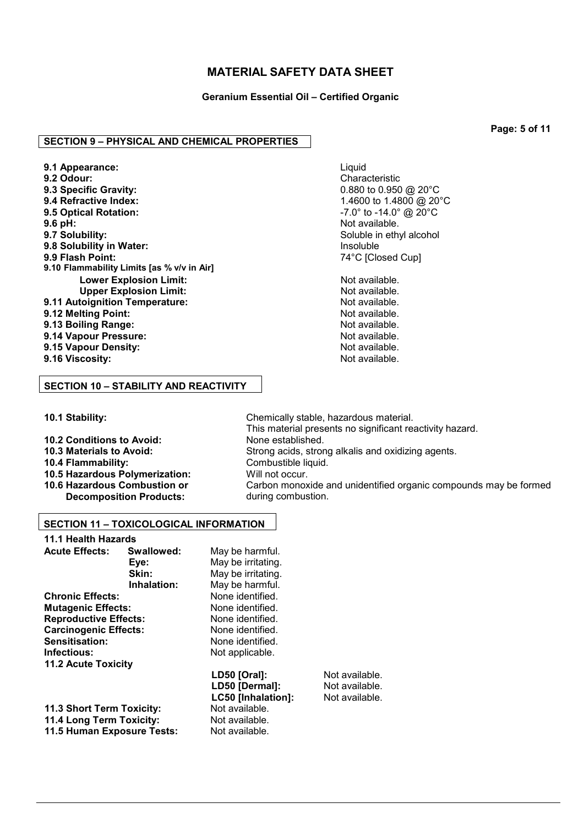**Geranium Essential Oil – Certified Organic**

### **SECTION 9 – PHYSICAL AND CHEMICAL PROPERTIES**

**9.1 Appearance:** Liquid **9.2 Odour:** Characteristic **9.3 Specific Gravity:**  $0.880$  to  $0.950$  @ 20°C<br>**9.4 Refractive Index:**  $1.4600$  to  $1.4800$  @ 20 **9.4 Refractive Index:** 1.4600 to 1.4800 @ 20°C **9.6 pH: 9.7 Solubility: 19.7 Solubility: 19.7 Solubility: 19.7 Solubility: 19.7 Solubility: 19.7 Solubility: 19.7 Solubility: 19.7 Solubility: 19.7 Solubility: 19.7 Solubility: 19.7 Solubility: 19. 9.8 Solubility in Water: Insoluble 1.9 Solubility in Water:** 1.1 Soluble 1.1 Soluble 1.1 Soluble 1.1 Solution 1.1 Solution 1.1 Solution 1.1 Solution 1.1 Solution 1.1 Solution 1.1 Solution 1.1 Solution 1.1 Solution 1.1 S **9.10 Flammability Limits [as % v/v in Air] Lower Explosion Limit:** Not available. **Upper Explosion Limit:**  $\blacksquare$  Not available. **9.11 Autoignition Temperature: Not available.** Not available.<br> **9.12 Melting Point: Not available. 9.12 Melting Point: 9.13 Boiling Range: Not available. Not available. 9.14 Vapour Pressure:** Not available. **9.15 Vapour Density:** Not available. **9.16 Viscosity:** 

**9.5 Optical Rotation:** -7.0° to -14.0° @ 20°C Soluble in ethyl alcohol **9.9 Flash Point:** 74°C [Closed Cup]

This material presents no significant reactivity hazard.

during combustion.

Carbon monoxide and unidentified organic compounds may be formed

### **SECTION 10 – STABILITY AND REACTIVITY**

**10.1 Stability:** Chemically stable, hazardous material.

- **10.2 Conditions to Avoid:** None established.
- **10.3 Materials to Avoid:** Strong acids, strong alkalis and oxidizing agents.
- **10.4 Flammability:** Combustible liquid.
- **10.5 Hazardous Polymerization:** Will not occur.
- **10.6 Hazardous Combustion or Decomposition Products:**

### **SECTION 11 – TOXICOLOGICAL INFORMATION**

| 11.1 Health Hazards          |                  |                    |
|------------------------------|------------------|--------------------|
| <b>Acute Effects:</b>        | Swallowed:       | May be harmful.    |
|                              | Eve:             | May be irritating. |
|                              | Skin:            | May be irritating. |
|                              | Inhalation:      | May be harmful.    |
| <b>Chronic Effects:</b>      |                  | None identified.   |
| <b>Mutagenic Effects:</b>    | None identified. |                    |
| <b>Reproductive Effects:</b> | None identified. |                    |
| <b>Carcinogenic Effects:</b> | None identified. |                    |
| Sensitisation:               |                  | None identified.   |
| Infectious:                  |                  | Not applicable.    |
| <b>11.2 Acute Toxicity</b>   |                  |                    |
|                              |                  | LD50 [Oral]:       |
|                              |                  | LD50 [Dermal]:     |
|                              |                  | LC50 [Inhalation]  |
| 11.3 Short Term Toxicity:    |                  | Not available.     |

**11.4 Long Term Toxicity:** Not available. **11.5 Human Exposure Tests:** Not available.

Not available. **Not available. LCG5 EXECUTE:** Not available. **Page: 5 of 11**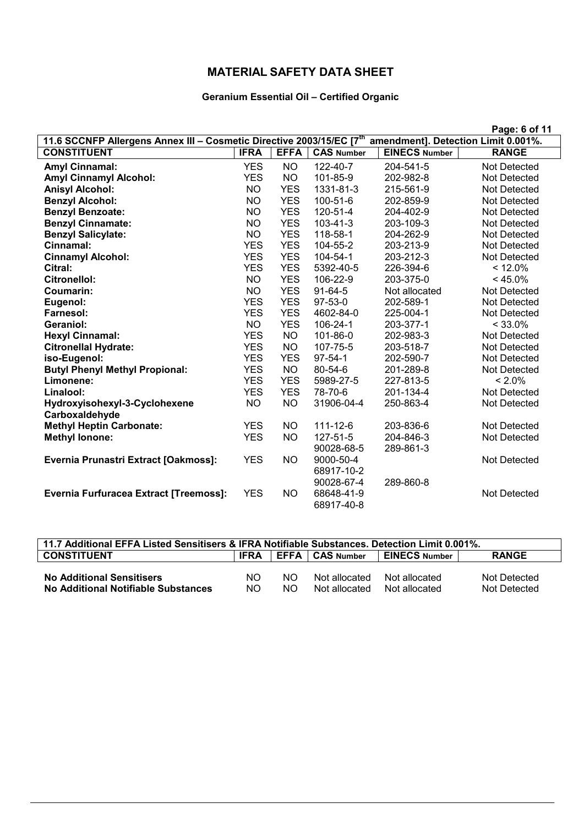# **Geranium Essential Oil – Certified Organic**

|                                                                                  |             |             |                   |                                     | Page: 6 of 11       |
|----------------------------------------------------------------------------------|-------------|-------------|-------------------|-------------------------------------|---------------------|
| 11.6 SCCNFP Allergens Annex III - Cosmetic Directive 2003/15/EC [7 <sup>th</sup> |             |             |                   | amendment]. Detection Limit 0.001%. |                     |
| <b>CONSTITUENT</b>                                                               | <b>IFRA</b> | <b>EFFA</b> | <b>CAS Number</b> | <b>EINECS Number</b>                | <b>RANGE</b>        |
| <b>Amyl Cinnamal:</b>                                                            | <b>YES</b>  | <b>NO</b>   | 122-40-7          | 204-541-5                           | <b>Not Detected</b> |
| <b>Amyl Cinnamyl Alcohol:</b>                                                    | <b>YES</b>  | <b>NO</b>   | 101-85-9          | 202-982-8                           | <b>Not Detected</b> |
| <b>Anisyl Alcohol:</b>                                                           | <b>NO</b>   | <b>YES</b>  | 1331-81-3         | 215-561-9                           | <b>Not Detected</b> |
| <b>Benzyl Alcohol:</b>                                                           | <b>NO</b>   | <b>YES</b>  | 100-51-6          | 202-859-9                           | <b>Not Detected</b> |
| <b>Benzyl Benzoate:</b>                                                          | <b>NO</b>   | <b>YES</b>  | 120-51-4          | 204-402-9                           | Not Detected        |
| <b>Benzyl Cinnamate:</b>                                                         | NO.         | <b>YES</b>  | $103 - 41 - 3$    | 203-109-3                           | Not Detected        |
| <b>Benzyl Salicylate:</b>                                                        | <b>NO</b>   | <b>YES</b>  | 118-58-1          | 204-262-9                           | <b>Not Detected</b> |
| Cinnamal:                                                                        | <b>YES</b>  | <b>YES</b>  | 104-55-2          | 203-213-9                           | <b>Not Detected</b> |
| <b>Cinnamyl Alcohol:</b>                                                         | <b>YES</b>  | <b>YES</b>  | 104-54-1          | 203-212-3                           | <b>Not Detected</b> |
| Citral:                                                                          | <b>YES</b>  | <b>YES</b>  | 5392-40-5         | 226-394-6                           | < 12.0%             |
| Citronellol:                                                                     | <b>NO</b>   | <b>YES</b>  | 106-22-9          | 203-375-0                           | $< 45.0\%$          |
| Coumarin:                                                                        | NO          | <b>YES</b>  | $91-64-5$         | Not allocated                       | <b>Not Detected</b> |
| Eugenol:                                                                         | <b>YES</b>  | <b>YES</b>  | $97-53-0$         | 202-589-1                           | <b>Not Detected</b> |
| <b>Farnesol:</b>                                                                 | <b>YES</b>  | <b>YES</b>  | 4602-84-0         | 225-004-1                           | <b>Not Detected</b> |
| Geraniol:                                                                        | <b>NO</b>   | <b>YES</b>  | 106-24-1          | 203-377-1                           | $< 33.0\%$          |
| <b>Hexyl Cinnamal:</b>                                                           | <b>YES</b>  | <b>NO</b>   | 101-86-0          | 202-983-3                           | Not Detected        |
| <b>Citronellal Hydrate:</b>                                                      | <b>YES</b>  | <b>NO</b>   | 107-75-5          | 203-518-7                           | <b>Not Detected</b> |
| iso-Eugenol:                                                                     | <b>YES</b>  | <b>YES</b>  | $97 - 54 - 1$     | 202-590-7                           | <b>Not Detected</b> |
| <b>Butyl Phenyl Methyl Propional:</b>                                            | <b>YES</b>  | <b>NO</b>   | $80 - 54 - 6$     | 201-289-8                           | <b>Not Detected</b> |
| Limonene:                                                                        | <b>YES</b>  | <b>YES</b>  | 5989-27-5         | 227-813-5                           | $< 2.0\%$           |
| Linalool:                                                                        | <b>YES</b>  | <b>YES</b>  | 78-70-6           | 201-134-4                           | <b>Not Detected</b> |
| Hydroxyisohexyl-3-Cyclohexene                                                    | <b>NO</b>   | <b>NO</b>   | 31906-04-4        | 250-863-4                           | <b>Not Detected</b> |
| Carboxaldehyde                                                                   |             |             |                   |                                     |                     |
| <b>Methyl Heptin Carbonate:</b>                                                  | <b>YES</b>  | <b>NO</b>   | $111 - 12 - 6$    | 203-836-6                           | <b>Not Detected</b> |
| <b>Methyl lonone:</b>                                                            | <b>YES</b>  | <b>NO</b>   | 127-51-5          | 204-846-3                           | <b>Not Detected</b> |
|                                                                                  |             |             | 90028-68-5        | 289-861-3                           |                     |
| Evernia Prunastri Extract [Oakmoss]:                                             | <b>YES</b>  | <b>NO</b>   | 9000-50-4         |                                     | <b>Not Detected</b> |
|                                                                                  |             |             | 68917-10-2        |                                     |                     |
|                                                                                  |             |             | 90028-67-4        | 289-860-8                           |                     |
| <b>Evernia Furfuracea Extract [Treemoss]:</b>                                    | <b>YES</b>  | <b>NO</b>   | 68648-41-9        |                                     | <b>Not Detected</b> |
|                                                                                  |             |             | 68917-40-8        |                                     |                     |

| 11.7 Additional EFFA Listed Sensitisers & IFRA Notifiable Substances. Detection Limit 0.001%. |             |      |               |                      |              |
|-----------------------------------------------------------------------------------------------|-------------|------|---------------|----------------------|--------------|
| <b>CONSTITUENT</b>                                                                            | <b>IFRA</b> | EFFA | CAS Number    | <b>EINECS Number</b> | <b>RANGE</b> |
|                                                                                               |             |      |               |                      |              |
| <b>No Additional Sensitisers</b>                                                              | NO.         | NO.  | Not allocated | Not allocated        | Not Detected |
| No Additional Notifiable Substances                                                           | NO.         | NO.  | Not allocated | Not allocated        | Not Detected |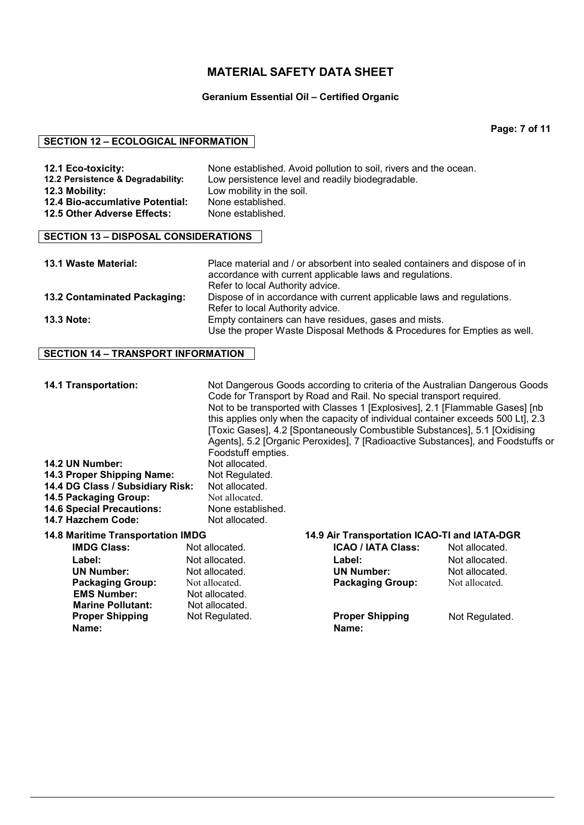#### **Geranium Essential Oil – Certified Organic**

**Page: 7 of 11**

#### **SECTION 12 – ECOLOGICAL INFORMATION**

| 12.1 Eco-toxicity:<br>12.2 Persistence & Degradability: | None established. Avoid pollution to soil, rivers and the ocean.<br>Low persistence level and readily biodegradable. |
|---------------------------------------------------------|----------------------------------------------------------------------------------------------------------------------|
| 12.3 Mobility:                                          | Low mobility in the soil.                                                                                            |
| 12.4 Bio-accumlative Potential:                         | None established.                                                                                                    |
| 12.5 Other Adverse Effects:                             | None established.                                                                                                    |

### **SECTION 13 – DISPOSAL CONSIDERATIONS**

| 13.1 Waste Material:         | Place material and / or absorbent into sealed containers and dispose of in<br>accordance with current applicable laws and regulations.<br>Refer to local Authority advice. |
|------------------------------|----------------------------------------------------------------------------------------------------------------------------------------------------------------------------|
| 13.2 Contaminated Packaging: | Dispose of in accordance with current applicable laws and regulations.                                                                                                     |
|                              | Refer to local Authority advice.                                                                                                                                           |
| <b>13.3 Note:</b>            | Empty containers can have residues, gases and mists.                                                                                                                       |
|                              | Use the proper Waste Disposal Methods & Procedures for Empties as well.                                                                                                    |

#### **SECTION 14 – TRANSPORT INFORMATION**

**14.1 Transportation:** Not Dangerous Goods according to criteria of the Australian Dangerous Goods Code for Transport by Road and Rail. No special transport required. Not to be transported with Classes 1 [Explosives], 2.1 [Flammable Gases] [nb this applies only when the capacity of individual container exceeds 500 Lt], 2.3 [Toxic Gases], 4.2 [Spontaneously Combustible Substances], 5.1 [Oxidising Agents], 5.2 [Organic Peroxides], 7 [Radioactive Substances], and Foodstuffs or Foodstuff empties. **14.2 UN Number:** Not allocated. 14.3 Proper Shipping Name: Not Regulated. 14.4 DG Class / Subsidiary Risk: Not allocated. **14.5 Packaging Group:** Not allocated.<br>**14.6 Special Precautions:** None established. **14.6 Special Precautions: None establishing Manual Precautions:** None established.<br>**14.7 Hazchem Code:** Not allocated. **14.7 Hazchem Code: 14.8 Maritime Transportation IMDG 14.9 Air Transportation ICAO-TI and IATA-DGR IMDG Class: Not allocated. ICAO / IATA Class:** Not allocated.

| <b>IMDG Class:</b>       | Not allocated. | <b>ICAO / IATA Class:</b> | Not allocated. |
|--------------------------|----------------|---------------------------|----------------|
| Label:                   | Not allocated. | Label:                    | Not allocated. |
| <b>UN Number:</b>        | Not allocated. | <b>UN Number:</b>         | Not allocated. |
| <b>Packaging Group:</b>  | Not allocated. | <b>Packaging Group:</b>   | Not allocated. |
| <b>EMS Number:</b>       | Not allocated. |                           |                |
| <b>Marine Pollutant:</b> | Not allocated. |                           |                |
| <b>Proper Shipping</b>   | Not Regulated. | <b>Proper Shipping</b>    | Not Regulated. |
| Name:                    |                | Name:                     |                |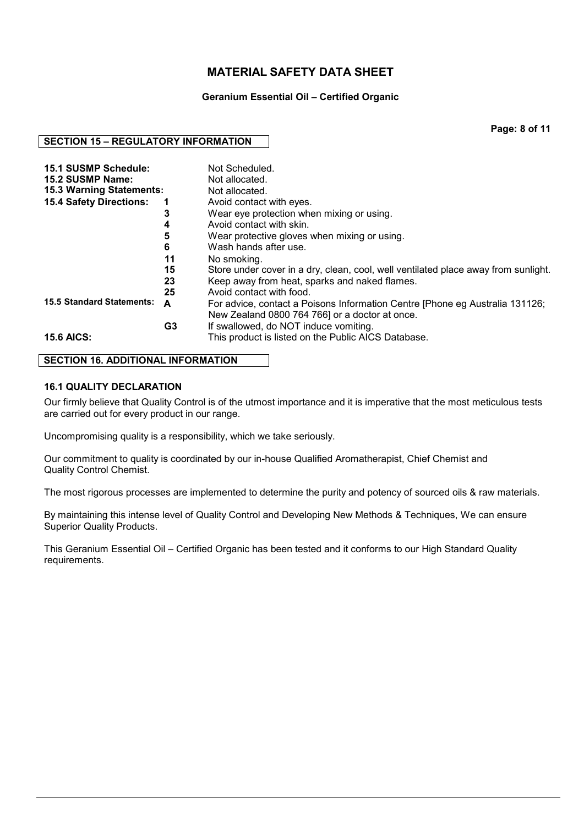### **Geranium Essential Oil – Certified Organic**

**Page: 8 of 11**

### **SECTION 15 – REGULATORY INFORMATION**

| <b>15.1 SUSMP Schedule:</b><br>15.2 SUSMP Name: |    | Not Scheduled.                                                                     |
|-------------------------------------------------|----|------------------------------------------------------------------------------------|
|                                                 |    | Not allocated.                                                                     |
| <b>15.3 Warning Statements:</b>                 |    | Not allocated.                                                                     |
| <b>15.4 Safety Directions:</b>                  | 1  | Avoid contact with eyes.                                                           |
|                                                 | 3  | Wear eye protection when mixing or using.                                          |
|                                                 | 4  | Avoid contact with skin.                                                           |
|                                                 | 5  | Wear protective gloves when mixing or using.                                       |
|                                                 | 6  | Wash hands after use.                                                              |
|                                                 | 11 | No smoking.                                                                        |
|                                                 | 15 | Store under cover in a dry, clean, cool, well ventilated place away from sunlight. |
|                                                 | 23 | Keep away from heat, sparks and naked flames.                                      |
|                                                 | 25 | Avoid contact with food.                                                           |
| <b>15.5 Standard Statements:</b>                | A  | For advice, contact a Poisons Information Centre [Phone eg Australia 131126;       |
|                                                 |    | New Zealand 0800 764 766] or a doctor at once.                                     |
|                                                 | G3 | If swallowed, do NOT induce vomiting.                                              |
| <b>15.6 AICS:</b>                               |    | This product is listed on the Public AICS Database.                                |

### **SECTION 16. ADDITIONAL INFORMATION**

### **16.1 QUALITY DECLARATION**

Our firmly believe that Quality Control is of the utmost importance and it is imperative that the most meticulous tests are carried out for every product in our range.

Uncompromising quality is a responsibility, which we take seriously.

Our commitment to quality is coordinated by our in-house Qualified Aromatherapist, Chief Chemist and Quality Control Chemist.

The most rigorous processes are implemented to determine the purity and potency of sourced oils & raw materials.

By maintaining this intense level of Quality Control and Developing New Methods & Techniques, We can ensure Superior Quality Products.

This Geranium Essential Oil – Certified Organic has been tested and it conforms to our High Standard Quality requirements.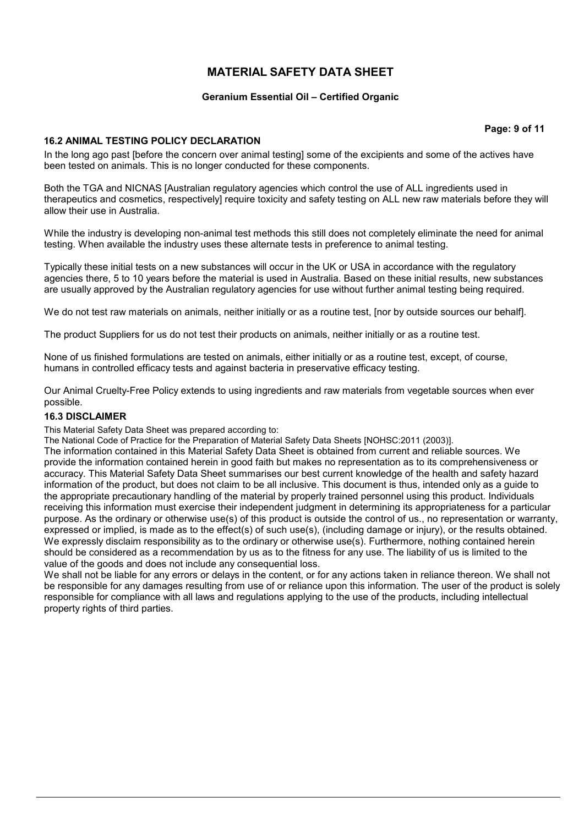### **Geranium Essential Oil – Certified Organic**

**Page: 9 of 11**

### **16.2 ANIMAL TESTING POLICY DECLARATION**

In the long ago past [before the concern over animal testing] some of the excipients and some of the actives have been tested on animals. This is no longer conducted for these components.

Both the TGA and NICNAS [Australian regulatory agencies which control the use of ALL ingredients used in therapeutics and cosmetics, respectively] require toxicity and safety testing on ALL new raw materials before they will allow their use in Australia.

While the industry is developing non-animal test methods this still does not completely eliminate the need for animal testing. When available the industry uses these alternate tests in preference to animal testing.

Typically these initial tests on a new substances will occur in the UK or USA in accordance with the regulatory agencies there, 5 to 10 years before the material is used in Australia. Based on these initial results, new substances are usually approved by the Australian regulatory agencies for use without further animal testing being required.

We do not test raw materials on animals, neither initially or as a routine test, [nor by outside sources our behalf].

The product Suppliers for us do not test their products on animals, neither initially or as a routine test.

None of us finished formulations are tested on animals, either initially or as a routine test, except, of course, humans in controlled efficacy tests and against bacteria in preservative efficacy testing.

Our Animal Cruelty-Free Policy extends to using ingredients and raw materials from vegetable sources when ever possible.

#### **16.3 DISCLAIMER**

This Material Safety Data Sheet was prepared according to:

The National Code of Practice for the Preparation of Material Safety Data Sheets [NOHSC:2011 (2003)].

The information contained in this Material Safety Data Sheet is obtained from current and reliable sources. We provide the information contained herein in good faith but makes no representation as to its comprehensiveness or accuracy. This Material Safety Data Sheet summarises our best current knowledge of the health and safety hazard information of the product, but does not claim to be all inclusive. This document is thus, intended only as a guide to the appropriate precautionary handling of the material by properly trained personnel using this product. Individuals receiving this information must exercise their independent judgment in determining its appropriateness for a particular purpose. As the ordinary or otherwise use(s) of this product is outside the control of us., no representation or warranty, expressed or implied, is made as to the effect(s) of such use(s), (including damage or injury), or the results obtained. We expressly disclaim responsibility as to the ordinary or otherwise use(s). Furthermore, nothing contained herein should be considered as a recommendation by us as to the fitness for any use. The liability of us is limited to the value of the goods and does not include any consequential loss.

We shall not be liable for any errors or delays in the content, or for any actions taken in reliance thereon. We shall not be responsible for any damages resulting from use of or reliance upon this information. The user of the product is solely responsible for compliance with all laws and regulations applying to the use of the products, including intellectual property rights of third parties.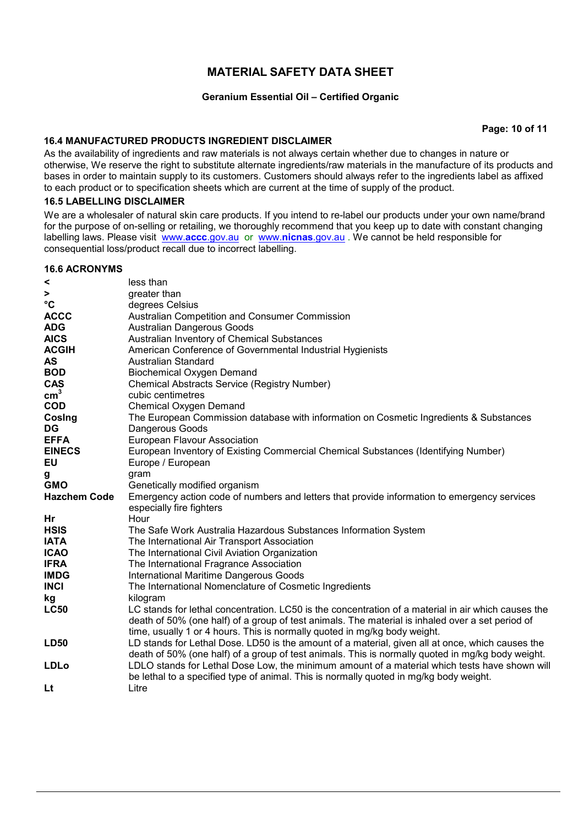### **Geranium Essential Oil – Certified Organic**

**Page: 10 of 11**

### **16.4 MANUFACTURED PRODUCTS INGREDIENT DISCLAIMER**

As the availability of ingredients and raw materials is not always certain whether due to changes in nature or otherwise, We reserve the right to substitute alternate ingredients/raw materials in the manufacture of its products and bases in order to maintain supply to its customers. Customers should always refer to the ingredients label as affixed to each product or to specification sheets which are current at the time of supply of the product.

### **16.5 LABELLING DISCLAIMER**

We are a wholesaler of natural skin care products. If you intend to re-label our products under your own name/brand for the purpose of on-selling or retailing, we thoroughly recommend that you keep up to date with constant changing labelling laws. Please visit www.**accc**.gov.au or www.**nicnas**.gov.au . We cannot be held responsible for consequential loss/product recall due to incorrect labelling.

### **16.6 ACRONYMS**

| <                   | less than                                                                                                                                                                                                                                                                            |
|---------------------|--------------------------------------------------------------------------------------------------------------------------------------------------------------------------------------------------------------------------------------------------------------------------------------|
| >                   | greater than                                                                                                                                                                                                                                                                         |
| °C                  | degrees Celsius                                                                                                                                                                                                                                                                      |
| <b>ACCC</b>         | Australian Competition and Consumer Commission                                                                                                                                                                                                                                       |
| <b>ADG</b>          | <b>Australian Dangerous Goods</b>                                                                                                                                                                                                                                                    |
| <b>AICS</b>         | Australian Inventory of Chemical Substances                                                                                                                                                                                                                                          |
| <b>ACGIH</b>        | American Conference of Governmental Industrial Hygienists                                                                                                                                                                                                                            |
| AS                  | Australian Standard                                                                                                                                                                                                                                                                  |
| <b>BOD</b>          | <b>Biochemical Oxygen Demand</b>                                                                                                                                                                                                                                                     |
| <b>CAS</b>          | <b>Chemical Abstracts Service (Registry Number)</b>                                                                                                                                                                                                                                  |
| $\text{cm}^3$       | cubic centimetres                                                                                                                                                                                                                                                                    |
| <b>COD</b>          | <b>Chemical Oxygen Demand</b>                                                                                                                                                                                                                                                        |
| Cosing              | The European Commission database with information on Cosmetic Ingredients & Substances                                                                                                                                                                                               |
| DG                  | Dangerous Goods                                                                                                                                                                                                                                                                      |
| <b>EFFA</b>         | European Flavour Association                                                                                                                                                                                                                                                         |
| <b>EINECS</b>       | European Inventory of Existing Commercial Chemical Substances (Identifying Number)                                                                                                                                                                                                   |
| EU                  | Europe / European                                                                                                                                                                                                                                                                    |
| g                   | gram                                                                                                                                                                                                                                                                                 |
| <b>GMO</b>          | Genetically modified organism                                                                                                                                                                                                                                                        |
| <b>Hazchem Code</b> | Emergency action code of numbers and letters that provide information to emergency services                                                                                                                                                                                          |
|                     | especially fire fighters                                                                                                                                                                                                                                                             |
| Hr                  | Hour                                                                                                                                                                                                                                                                                 |
| <b>HSIS</b>         | The Safe Work Australia Hazardous Substances Information System                                                                                                                                                                                                                      |
| <b>IATA</b>         | The International Air Transport Association                                                                                                                                                                                                                                          |
| <b>ICAO</b>         | The International Civil Aviation Organization                                                                                                                                                                                                                                        |
| <b>IFRA</b>         | The International Fragrance Association                                                                                                                                                                                                                                              |
| <b>IMDG</b>         | <b>International Maritime Dangerous Goods</b>                                                                                                                                                                                                                                        |
| <b>INCI</b>         | The International Nomenclature of Cosmetic Ingredients                                                                                                                                                                                                                               |
| kg                  | kilogram                                                                                                                                                                                                                                                                             |
| <b>LC50</b>         | LC stands for lethal concentration. LC50 is the concentration of a material in air which causes the<br>death of 50% (one half) of a group of test animals. The material is inhaled over a set period of<br>time, usually 1 or 4 hours. This is normally quoted in mg/kg body weight. |
| <b>LD50</b>         | LD stands for Lethal Dose. LD50 is the amount of a material, given all at once, which causes the<br>death of 50% (one half) of a group of test animals. This is normally quoted in mg/kg body weight.                                                                                |
| <b>LDLo</b>         | LDLO stands for Lethal Dose Low, the minimum amount of a material which tests have shown will<br>be lethal to a specified type of animal. This is normally quoted in mg/kg body weight.                                                                                              |
| <b>Lt</b>           | Litre                                                                                                                                                                                                                                                                                |